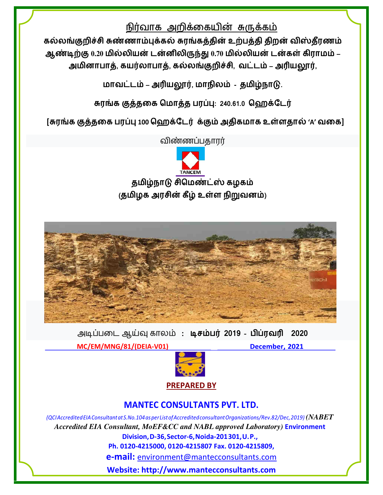## நிர்வாக அறிக்கையின் சுருக்கம்

கல்லங்குறிச்சி சுண்ணாம்புக்கல் சுரங்கத்தின் உற்பத்தி திறன் விஸ்தீரணம் ஆண்டிற்கு 0.20 மில்லியன் டன்னிலிருந்து 0.70 மில்லியன் டன்கள் கிராமம் – அமினாபாத், கயர்லாபாத், கல்லங்குறிச்சி, வட்டம் – அரியலூர்,

மாவட்டம் – அரியலூர், மாநிலம் - தமிழ்நாடு.

சுரங்க குத்தகை மொத்த பரப்பு: 240.61.0 ஹெக்டேர்

[சுரங்க குத்தகை பரப்பு 100 ஹெக்டேர் க்கும் அதிகமாக உள்ளதால் 'A' வகை]

விண்ணப்பதாரர்





அடிப்படை ஆய்வு காலம்: டிசம்பர் 2019 - பிப்ரவரி 2020

MC/EM/MNG/81/(DEIA-V01)

December, 2021



## **MANTEC CONSULTANTS PVT. LTD.**

(QCI Accredited EIA Consultant at S. No. 104 as per List of Accredited consultant Organizations/Rev.82/Dec, 2019) (NABET Accredited EIA Consultant, MoEF&CC and NABL approved Laboratory) Environment Division, D-36, Sector-6, Noida-201301, U.P., Ph. 0120-4215000, 0120-4215807 Fax. 0120-4215809, **e-mail:** environment@mantecconsultants.com

Website: http://www.mantecconsultants.com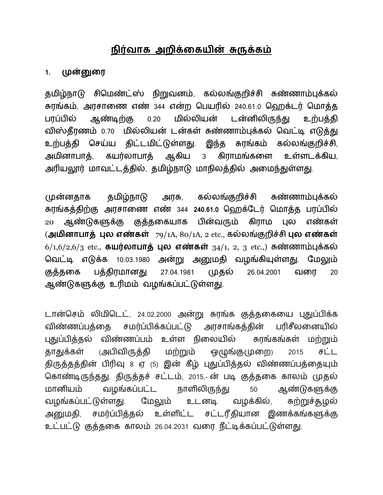## நிர்வாக அறிக்கையின் சுருக்கம்

#### முன்னுரை  $1.$

தமிழ்நாடு சிமெண்ட்ஸ் நிறுவனம், கல்லங்குறிச்சி சுண்ணாம்புக்கல் சுரங்கம், அரசாணை எண் 344 என்ற பெயரில் 240.61.0 ஹெக்டர் மொத்த மில்லியன் ஆண்டிற்கு டன்னிலிருந்து பரப்பில்  $0.20$ உற்பத்தி விஸ்தீரணம் 0.70 மில்லியன் டன்கள் சுண்ணாம்புக்கல் வெட்டி எடுத்து உற்பத்தி செய்ய திட்டமிட்டுள்ளது. இந்த கல்லங்குறிச்சி, சுரங்கம் கயர்லாபாத் ஆகிய அமினாபாக்.  $3<sup>7</sup>$ கிராமங்களை உள்ளடக்கிய. அரியலூர் மாவட்டத்தில், தமிழ்நாடு மாநிலத்தில் அமைந்துள்ளது.

தமிழ்நாடு கல்லங்குறிச்சி முன்னதாக அரசு, சுண்ணாம்புக்கல் சுரங்கத்திற்கு அரசாணை எண் 344 240.61.0 ஹெக்டேர் மொத்த பரப்பில் ஆண்டுகளுக்கு குத்தகையாக பின்வரும் கிராம பல எண்கள் 20 (அமினாபாத் புல எண்கள்  $79/1A$ ,  $80/1A$ , 2 etc., கல்லங்குறிச்சி புல எண்கள்  $6/1, 6/2, 6/3$  etc., கயர்லாபாத் புல எண்கள்  $34/1, 2, 3$  etc.,) சுண்ணாம்புக்கல் வெட்டி எடுக்க 10.03.1980 அன்று அனுமதி வழங்கியுள்ளது. மேலும் குத்தகை பக்கிரமானகு 27.04.1981 (முதல் 26.04.2001 வரை 20 ஆண்டுகளுக்கு உரிமம் வழங்கப்பட்டுள்ளது.

டான்செம் லிமிடெட், 24.02.2000 அன்று சுரங்க குத்தகையை புதுப்பிக்க அரசாங்கத்தின் விண்ணப்பக்கை சமர்ப்பிக்கப்பட்டு பரிசீலனையில் புதுப்பித்தல் விண்ணப்பம் உள்ள நிலையில் சுரங்கங்கள் மற்றும் (அபிவிருத்தி மற்றும் ஒழுங்குமுறை) சட்ட தாதுக்கள் 2015 திருத்தத்தின் பிரிவு 8 ஏ (5) இன் கீழ் புதுப்பித்தல் விண்ணப்பத்தையும் கொண்டிருந்தது. திருத்தச் சட்டம், 2015,-ன் படி குத்தகை காலம் முதல் மானியம் வழங்கப்பட்ட நாளிலிருந்து ஆண்டுகளுக்கு 50 வழங்கப்பட்டுள்ளது. மேலும் வழக்கில், உடனடி ௬ற்றுச்சூழல் சமர்ப்பித்தல் உள்ளிட்ட சட்டரீதியான இணக்கங்களுக்கு அனுமதி, உட்பட்டு குத்தகை காலம் 26.04.2031 வரை நீட்டிக்கப்பட்டுள்ளது.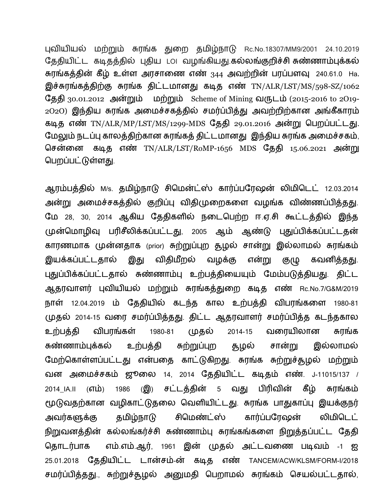புவியியல் மற்றும் சுரங்க துறை தமிழ்நாடு Rc.No.18307/MM9/2001 24.10.2019 தேதியிட்ட கடிதத்தில் புதிய ட௦ட வழங்கியது.கல்லங்குறிச்சி சுண்ணாம்புக்கல் சுரங்கத்தின் கீழ் உள்ள அரசாணை எண் <sub>344</sub> அவற்றின் பரப்பளவு 240.61.0 Ha. இச்சுரங்கத்திற்கு சுரங்க திட்டமானது கடித எண் TN/ALR/LST/MS/598-SZ/1062 தேதி 30.01.2012 அன்றும் மற்றும் Scheme of Mining வருடம் (2015-2016 to 2019-2O2O) இந்திய சுரங்க அமைச்சகத்தில் சமர்ப்பித்து அவற்றிற்கான அங்கீகாரம் கடித எண் TN/ALR/MP/LST/MS/1299-MDS தேதி 29.01.2016 அன்று பெறப்பட்டது. மேலும் நடப்பு காலத்திற்கான சுரங்கத் திட்டமானது இந்திய சுரங்க அமைச்சகம், சென்னை கடித எண் TN/ALR/LST/RoMP-1656 MDS தேதி 15.06.2021 அன்று பெறப்பட்டுள்ளது.

ஆரம்பத்தில் M/s. தமிழ்நாடு சிமென்ட்ஸ் கார்ப்பரேஷன் லிமிடெட் 12.03.2014 அன்று அமைச்சகத்தில் குறிப்பு விதிமுறைகளை வழங்க விண்ணப்பித்தது. மே 28, 30, 2014 ஆகிய தேதிகளில் நடைபெற்ற ஈ.ஏ.சி கூட்டத்தில் இந்த முன்மொழிவு பரிசீலிக்கப்பட்டது, 2005 ஆம் ஆண்டு புதுப்பிக்கப்பட்டதன் காரணமாக முன்னதாக (prior) சுற்றுப்புற தூழல் சான்று இல்லாமல் சுரங்கம் என்று இயக்கப்பட்டதால் இது விதிமீறல் வழக்கு கவனித்தது. குழு புதுப்பிக்கப்பட்டதால் சுண்ணாம்பு உற்பத்தியையும் மேம்படுத்தியது. திட்ட ஆதரவாளர் புவியியல் மற்றும் சுரங்கத்துறை கடித எண் Rc.No.7/G&M/2019 நாள் 12.04.2019 ம் தேதியில் கடந்த கால உற்பத்தி விபரங்களை 1980-81 முதல் 2014-15 வரை சமர்ப்பித்தது. திட்ட ஆதரவாளர் சமர்ப்பித்த கடந்தகால முதல் வரையிலான உற்பத்தி விபரங்கள் 1980-81 2014-15 சுரங்க இல்லாமல் சான்று சுண்ணாம்புக்கல் உற்பத்தி சுற்றுப்புற தழல் மேற்கொள்ளப்பட்டது என்பதை காட்டுகிறது. சுரங்க சுற்றுச்தூழல் மற்றும் வன அமைச்சகம் ஜூலை 14, 2014 தேதியிட்ட கடிதம் எண். J-11015/137 /  $\mathcal{L}(\mathbf{Q})$ சட்டத்தின் 5 வது பிரிவின் கீழ் 2014\_IA.II (எம்) 1986 சுரங்கம் மூடுவதற்கான வழிகாட்டுதலை வெளியிட்டது. சுரங்க பாதுகாப்பு இயக்குநர் கார்ப்பரேஷன் சிமெண்ட்ஸ் தமிழ்நாடு லிமிடெட் அவர்களுக்கு நிறுவனத்தின் கல்லங்கர்ச்சி சுண்ணாம்பு சுரங்கங்களை நிறுத்தப்பட்ட தேதி தொடர்பாக எம்.எம்.ஆர், 1961 இன் முதல் அட்டவணை படிவம் -1 ஐ 25.01.2018 தேதியிட்ட டான்சம்-ன் கடித எண் TANCEM/ACW/KLSM/FORM-I/2018 சமர்ப்பித்தது., சுற்றுச்தூழல் அனுமதி பெறாமல் சுரங்கம் செயல்பட்டதால்,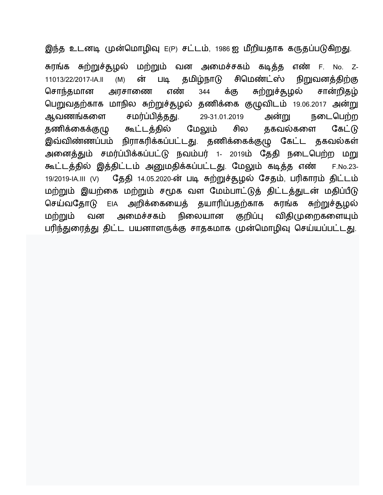இந்த உடனடி முன்மொழிவு E(P) சட்டம், 1986 ஐ மீறியதாக கருதப்படுகிறது.

சுரங்க சுற்றுச்தூழல் மற்றும் வன அமைச்சகம் கடித்த எண் F. No. Z-ன் சிமெண்ட்ஸ் படி தமிழ்நாடு நிறுவனத்திற்கு 11013/22/2017-IA.II  $(M)$ சொந்தமான க்கு ௬ற்றுச்சூழல் சான்றிதழ் எண் 344 அரசாணை பெறுவதற்காக மாநில சுற்றுச்தூழல் தணிக்கை குழுவிடம் 19.06.2017 அன்று ஆவணங்களை சமர்ப்பித்தது. 29-31.01.2019 அன்று நடைபெற்ற கூட்டத்தில் தணிக்கைக்குழு மேலும் தகவல்களை சில கேட்டு இவ்விண்ணப்பம் நிராகரிக்கப்பட்டது. தணிக்கைக்குழு கேட்ட தகவல்கள் அனைத்தும் சமர்ப்பிக்கப்பட்டு நவம்பர் 1- 2019ம் தேதி நடைபெற்ற மறு கூட்டத்தில் இத்திட்டம் அனுமதிக்கப்பட்டது. மேலும் கடித்த எண் F.No.23-தேதி 14.05.2020-ன் படி சுற்றுச்சூழல் சேதம், பரிகாரம் திட்டம் 19/2019-IA.III (V) மற்றும் இயற்கை மற்றும் சமூக வள மேம்பாட்டுத் திட்டத்துடன் மதிப்பீடு செய்வதோடு EIA அறிக்கையைத் தயாரிப்பதற்காக சுரங்க சுற்றுச்சூழல் குறிப்பு மற்றும் அமைச்சகம் நிலையான விதிமுறைகளையும் வன பரிந்துரைத்து திட்ட பயனாளருக்கு சாதகமாக முன்மொழிவு செய்யப்பட்டது.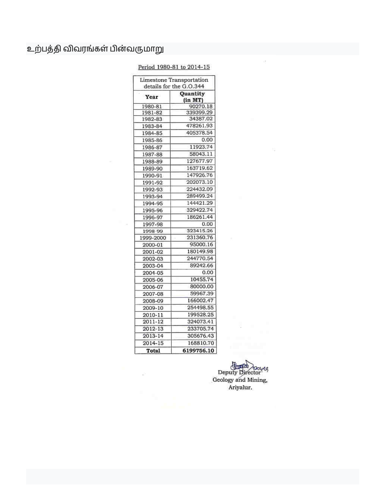## உற்பத்தி விவரங்கள் பின்வருமாறு

#### Period 1980-81 to 2014-15

| details for the G.O.344<br>Year | Quantity<br>(in MT) |
|---------------------------------|---------------------|
| 1980-81                         | 90270.18            |
| 1981-82                         | 339399.29           |
| 1982-83                         | 34387.02            |
| 1983-84                         | 478261.93           |
| 1984-85                         | 405378.54           |
| 1985-86                         | 0.00                |
| 1986-87                         | 11923.74            |
| 1987-88                         | 58043.11            |
| 1988-89                         | 127677.97           |
| 1989-90                         | 163719.62           |
| 1990-91                         | 147926.76           |
| 1991-92                         | 202073.10           |
| 1992-93                         | 224432.09           |
| 1993-94                         | 289499.24           |
| 1994-95                         | 144421.29           |
| 1995-96                         | 329422.74           |
| 1996-97                         | 186261.44           |
| 1997-98                         | 0.00                |
| 1998-99                         | 323415.26           |
| 1999-2000                       | 231360.76           |
| 2000-01                         | 95000.16            |
| 2001-02                         | 180149.98           |
| 2002-03                         | 244770.54           |
| 2003-04                         | 89242.66            |
| 2004-05                         | 0.00                |
| 2005-06                         | 10455.74            |
| 2006-07                         | 80000.00            |
| 2007-08                         | 59967.39            |
| 2008-09                         | 166002.47           |
| 2009-10                         | 254498.55           |
| 2010-11                         | 199528.25           |
| 2011-12                         | 324073.41           |
| $2012 - 13$                     | 233705.74           |
| 2013-14                         | 305676.43           |
| 2014-15                         | 168810.70           |
| Total                           | 6199756.10          |

Deputy Director<br>Geology and Mining,<br>Ariyalur.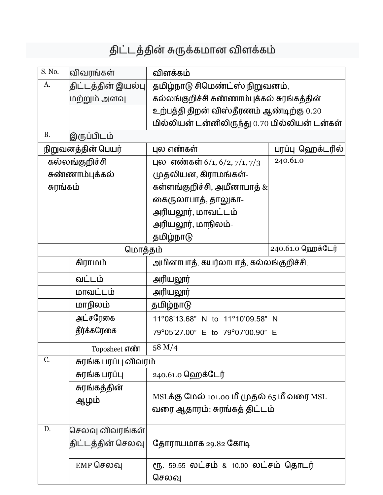# திட்டத்தின் சுருக்கமான விளக்கம்

| S. No.            | விவரங்கள்            | விளக்கம்                                      |                   |  |
|-------------------|----------------------|-----------------------------------------------|-------------------|--|
| A.                | திட்டத்தின் இயல்பு   | தமிழ்நாடு சிமெண்ட்ஸ் நிறுவனம்,                |                   |  |
|                   | மற்றும் அளவு         | கல்லங்குறிச்சி சுண்ணாம்புக்கல் சுரங்கத்தின்   |                   |  |
|                   |                      | உற்பத்தி திறன் விஸ்தீரணம் ஆண்டிற்கு 0.20      |                   |  |
|                   |                      | மில்லியன் டன்னிலிருந்து 0.70 மில்லியன் டன்கள் |                   |  |
| B.                | இருப்பிடம்           |                                               |                   |  |
|                   | நிறுவனத்தின் பெயர்   | புல எண்கள்                                    | பரப்பு ஹெக்டரில்  |  |
|                   | கல்லங்குறிச்சி       | புல எண்கள் 6/1, 6/2, 7/1, 7/3                 | 240.61.0          |  |
|                   | சுண்ணாம்புக்கல்      | முதலியன, கிராமங்கள்-                          |                   |  |
| சுரங்கம்          |                      | கள்ளங்குறிச்சி, அமீனாபாத் $\&$                |                   |  |
|                   |                      | கைருலாபாத், தாலுகா-                           |                   |  |
|                   |                      | அரியலூர், மாவட்டம்                            |                   |  |
|                   |                      | அரியலூர், மாநிலம்-                            |                   |  |
|                   |                      | தமிழ்நாடு                                     |                   |  |
| மொத்தம்           |                      |                                               | 240.61.0 ஹெக்டேர் |  |
|                   | கிராமம்              | அமினாபாத், கயர்லாபாத், கல்லங்குறிச்சி,        |                   |  |
|                   | வட்டம்               | அரியலூர்                                      |                   |  |
|                   | மாவட்டம்             | அரியலூர்                                      |                   |  |
|                   | மாநிலம்              | தமிழ்நாடு                                     |                   |  |
|                   | அட்சரேகை             | 11°08'13.68" N to 11°10'09.58" N              |                   |  |
|                   | தீர்க்கரேகை          | 79°05'27.00" E to 79°07'00.90" E              |                   |  |
|                   | Toposheet எண்        | 58 M/4                                        |                   |  |
| C.                | சுரங்க பரப்பு விவரம் |                                               |                   |  |
|                   | சுரங்க பரப்பு        | 240.61.0 ஹெக்டேர்                             |                   |  |
|                   | சுரங்கத்தின்         |                                               |                   |  |
|                   | ஆழம்                 | MSLக்கு மேல் 101.00 மீ முதல் 65 மீ வரை MSL    |                   |  |
|                   |                      | வரை ஆதாரம்: சுரங்கத் திட்டம்                  |                   |  |
| D.                | செலவு விவரங்கள்      |                                               |                   |  |
| திட்டத்தின் செலவு |                      | தோராயமாக 29.82 கோடி                           |                   |  |
|                   |                      |                                               |                   |  |
|                   | $EMP$ செலவு          | ரூ. 59.55 லட்சம் & 10.00 லட்சம் தொடர்         |                   |  |
|                   |                      | செலவு                                         |                   |  |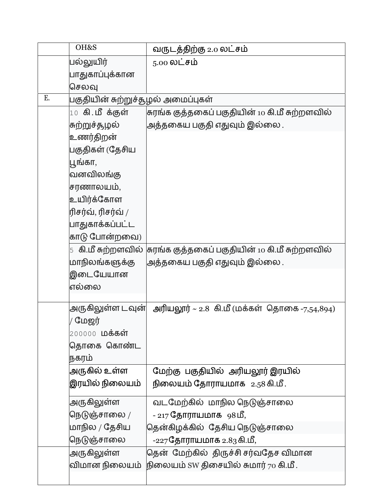|    | OH&S                               | வருடத்திற்கு 2.0 லட்சம்                                             |
|----|------------------------------------|---------------------------------------------------------------------|
|    | பல்லுயிர்                          | $5.00 \Omega$ ட்சம்                                                 |
|    | பாதுகாப்புக்கான                    |                                                                     |
|    | செலவு                              |                                                                     |
| Ε. | பகுதியின் சுற்றுச்சூழல் அமைப்புகள் |                                                                     |
|    | $10$ கி.மீக்குள்                   | சுரங்க குத்தகைப் பகுதியின் 10 கி.மீ சுற்றளவில்                      |
|    | சுற்றுச்தழல்                       | அத்தகைய பகுதி எதுவும் இல்லை .                                       |
|    | உணர்திறன்                          |                                                                     |
|    | பகுதிகள் (தேசிய                    |                                                                     |
|    | பூங்கா,                            |                                                                     |
|    | வனவிலங்கு                          |                                                                     |
|    | சரணாலயம்,                          |                                                                     |
|    | உயிர்க்கோள                         |                                                                     |
|    | ரிசர்வ், ரிசர்வ் /                 |                                                                     |
|    | பாதுகாக்கப்பட்ட                    |                                                                     |
|    | காடு போன்றவை)                      |                                                                     |
|    |                                    | 5   கி.மீ சுற்றளவில் குரங்க குத்தகைப் பகுதியின் 10 கி.மீ சுற்றளவில் |
|    | மாநிலங்களுக்கு                     | அத்தகைய பகுதி எதுவும் இல்லை .                                       |
|    | இடையேயான                           |                                                                     |
|    | எல்லை                              |                                                                     |
|    |                                    |                                                                     |
|    | அருகிலுள்ள டவுன்                   | அரியலூர் ~ 2.8 கி.மீ (மக்கள் தொகை -7,54,894)                        |
|    | / மேஜர்                            |                                                                     |
|    | 200000 <b>மக்கள்</b>               |                                                                     |
|    | தொகை கொண்ட                         |                                                                     |
|    | நகரம்                              |                                                                     |
|    | அருகில் உள்ள                       | மேற்கு பகுதியில் அரியலூர் இரயில்                                    |
|    | இரயில் நிலையம்                     | நிலையம் தோராயமாக 2.58 கி.மீ.                                        |
|    | அருகிலுள்ள                         | வடமேற்கில் மாநில நெடுஞ்சாலை                                         |
|    | நெடுஞ்சாலை $/$                     | - 217 தோராயமாக 98மீ,                                                |
|    | மாநில / தேசிய                      | தென்கிழக்கில் தேசிய நெடுஞ்சாலை                                      |
|    | நெடுஞ்சாலை                         | -227 தோராயமாக 2.83 கி.மீ,                                           |
|    | அருகிலுள்ள                         | தென் மேற்கில் திருச்சி சர்வதேச விமான                                |
|    | விமான நிலையம்                      | நிலையம் SW திசையில் சுமார் $70$ கி.மீ.                              |
|    |                                    |                                                                     |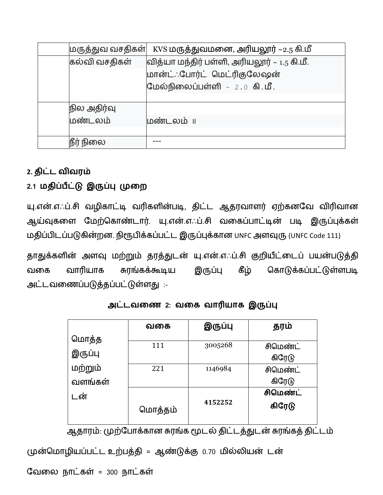|               | $\vert$ மருத்துவ வசதிகள் $\vert\;$ KVS மருத்துவமனை, அரியலூர் ~2.5 கி.மீ |
|---------------|-------------------------------------------------------------------------|
| கல்வி வசதிகள் | வித்யா மந்திர் பள்ளி, அரியலூர் ~ 1.5 கி.மீ.                             |
|               | மான்ட்: போர்ட் மெட்ரிகுலேஷன்                                            |
|               | மேல்நிலைப்பள்ளி $\sim 2.0$ கி. மீ.                                      |
|               |                                                                         |
| நில அதிர்வு   |                                                                         |
| மண்டலம்       |                                                                         |
|               |                                                                         |
| நீர் நிலை     |                                                                         |

## 2. திட்ட விவரம்

## 2.1 மதிப்பீட்டு இருப்பு முறை

யு.என்.எஃப்.சி வழிகாட்டி வரிகளின்படி, திட்ட ஆதரவாளர் ஏற்கனவே விரிவான ஆய்வுகளை மேற்கொண்டார். யு.என்.எஃப்.சி வகைப்பாட்டின் படி இருப்புக்கள் மதிப்பிடப்படுகின்றன. நிரூபிக்கப்பட்ட இருப்புக்கான UNFC அளவுரு (UNFC Code 111)

தாதுக்களின் அளவு மற்றும் தரத்துடன் யு.என்.எஃப்.சி குறியீட்டைப் பயன்படுத்தி வாரியாக இருப்பு கீழ் கொடுக்கப்பட்டுள்ளபடி வகை சுரங்கக்கூடிய அட்டவணைப்படுத்தப்பட்டுள்ளது :-

|         | வகை                | இருப்பு | தரம்     |
|---------|--------------------|---------|----------|
| மொத்த   |                    |         |          |
|         | 111                | 3005268 | சிமெண்ட் |
| இருப்பு |                    |         | கிரேடு   |
| மற்றும் | 221                | 1146984 | சிமெண்ட் |
| வளங்கள் |                    |         | கிரேடு   |
| டன்     |                    |         | சிமெண்ட் |
|         | 4152252<br>மொத்தம் |         | கிரேடு   |

அட்டவணை 2: வகை வாரியாக இருப்பு

ஆதாரம்: முற்போக்கான சுரங்க மூடல் திட்டத்துடன் சுரங்கத் திட்டம்

முன்மொழியப்பட்ட உற்பத்தி = ஆண்டுக்கு 0.70 மில்லியன் டன்

வேலை நாட்கள் = 300 நாட்கள்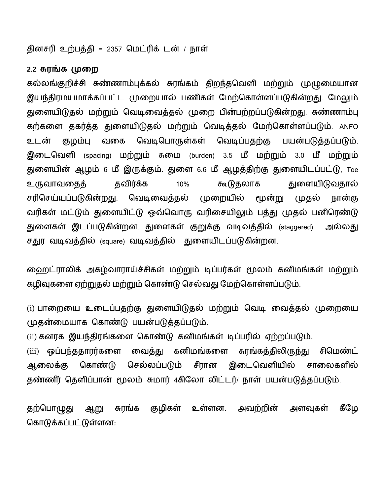தினசரி உற்பத்தி = 2357 மெட்ரிக் டன் / நாள்

#### 2.2 சுரங்க முறை

கல்லங்குறிச்சி சுண்ணாம்புக்கல் சுரங்கம் திறந்தவெளி மற்றும் முழுமையான இயந்திரமயமாக்கப்பட்ட முறையால் பணிகள் மேற்கொள்ளப்படுகின்றது. மேலும் துளையிடுதல் மற்றும் வெடிவைத்தல் முறை பின்பற்றப்படுகின்றது. சுண்ணாம்பு கற்களை தகர்த்த துளையிடுதல் மற்றும் வெடித்தல் மேற்கொள்ளப்படும். ANFO வெடிபொருள்கள் வெடிப்பதற்கு உடன் குழம்பு வகை பயன்படுத்தப்படும். இடைவெளி (spacing) மற்றும் சுமை (burden) 3.5 மீ மற்றும் 3.0 மீ மற்றும் துளையின் ஆழம் 6 மீ இருக்கும். துளை 6.6 மீ ஆழத்திற்கு துளையிடப்பட்டு, Toe கூடுதலாக துளையிடுவதால் தவிர்க்க 10% உருவாவதைத் சரிசெய்யப்படுகின்றது. வெடிவைத்தல் முறையில் மூன்று முதல் நான்கு வரிகள் மட்டும் துளையிட்டு ஒவ்வொரு வரிசையிலும் பத்து முதல் பனிரெண்டு துளைகள் இடப்படுகின்றன. துளைகள் குறுக்கு வடிவத்தில் <sub>(staggered)</sub> அல்லது சதுர வடிவத்தில் (square) வடிவத்தில் துளையிடப்படுகின்றன.

ஹைட்ராலிக் அகழ்வாராய்ச்சிகள் மற்றும் டிப்பர்கள் மூலம் கனிமங்கள் மற்றும் கழிவுகளை ஏற்றுதல் மற்றும் கொண்டு செல்வது மேற்கொள்ளப்படும்.

(i) பாறையை உடைப்பதற்கு துளையிடுதல் மற்றும் வெடி வைத்தல் முறையை முதன்மையாக கொண்டு பயன்படுத்தப்படும்.

(ii) கனரக இயந்திரங்களை கொண்டு கனிமங்கள் டிப்பரில் ஏற்றப்படும்.

கனிமங்களை சுரங்கத்திலிருந்து சிமெண்ட் ஒப்பந்ததாரர்களை வைத்து  $(iii)$ செல்லப்படும் சீரான இடைவெளியில் ஆலைக்கு கொண்டு சாலைகளில் தண்ணீர் தெளிப்பான் மூலம் சுமார் 4கிலோ லிட்டர்/ நாள் பயன்படுத்தப்படும்.

கீழே தற்பொழுது குழிகள் உள்ளன. அவற்றின் அளவுகள் ஆறு சுரங்க கொடுக்கப்பட்டுள்ளன: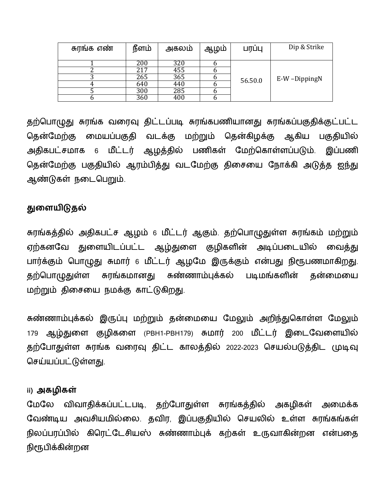| சுரங்க எண் | நீளம் | அகலம் | ஆழம் | பரப்பு  | Dip & Strike |
|------------|-------|-------|------|---------|--------------|
|            | 200   | 320   |      |         |              |
|            | 217   | 455   |      |         |              |
|            | 265   | 365   |      | 56.50.0 | E-W-DippingN |
|            | 640   | 440   |      |         |              |
|            | 300   | 285   |      |         |              |
|            | 360   | 400   |      |         |              |

தற்பொழுது சுரங்க வரைவு திட்டப்படி சுரங்கபணியானது சுரங்கப்பகுதிக்குட்பட்ட தென்மேற்கு மையப்பகுதி வடக்கு மற்றும் தென்கிழக்கு ஆகிய பகுதியில் அதிகபட்சமாக 6 மீட்டர் ஆழத்தில் பணிகள் மேற்கொள்ளப்படும். இப்பணி தென்மேற்கு பகுதியில் ஆரம்பித்து வடமேற்கு திசையை நோக்கி அடுத்த ஐந்து ஆண்டுகள் நடைபெறும்.

## துளையிடுதல்

சுரங்கத்தில் அதிகபட்ச ஆழம் 6 மீட்டர் ஆகும். தற்பொழுதுள்ள சுரங்கம் மற்றும் ஏற்கனவே துளையிடப்பட்ட ஆழ்துளை குழிகளின் அடிப்படையில் வைத்து பார்க்கும் பொழுது சுமார் 6 மீட்டர் ஆழமே இருக்கும் என்பது நிரூபணமாகிறது. தற்பொழுதுள்ள சுரங்கமானது சுண்ணாம்புக்கல் படிமங்களின் தன்மையை மற்றும் திசையை நமக்கு காட்டுகிறது.

சுண்ணாம்புக்கல் இருப்பு மற்றும் தன்மையை மேலும் அறிந்துகொள்ள மேலும் ஆழ்துளை குழிகளை (PBH1-PBH179) சுமார் 200 மீட்டர் இடைவேளையில் 179 தற்போதுள்ள சுரங்க வரைவு திட்ட காலத்தில் 2022-2023 செயல்படுத்திட முடிவு செய்யப்பட்டுள்ளது.

### ii) அகழிகள்

மேலே விவாதிக்கப்பட்டபடி, தற்போதுள்ள சுரங்கத்தில் அகழிகள் அமைக்க வேண்டிய அவசியமில்லை. தவிர, இப்பகுதியில் செயலில் உள்ள சுரங்கங்கள் நிலப்பரப்பில் கிரெட்டேசியஸ் சுண்ணாம்புக் கற்கள் உருவாகின்றன என்பதை நிரூபிக்கின்றன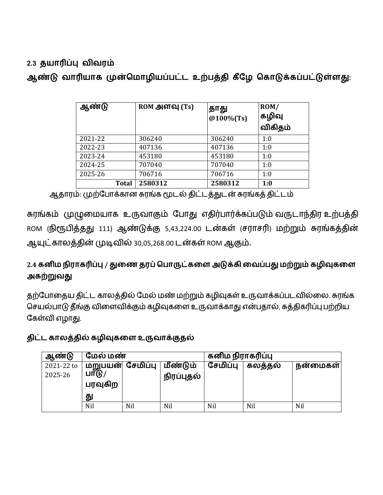## 2.3 தயாரிப்பு விவரம்

ஆண்டு வாரியாக முன்மொழியப்பட்ட உற்பத்தி கீழே கொடுக்கப்பட்டுள்ளது:

| ஆண்டு        | ROM அளவு (Ts) | தாது<br>@100%(Ts) | ROM/<br>கழிவு<br>விகிதம் |
|--------------|---------------|-------------------|--------------------------|
| 2021-22      | 306240        | 306240            | 1:0                      |
| 2022-23      | 407136        | 407136            | 1:0                      |
| 2023-24      | 453180        | 453180            | 1:0                      |
| 2024-25      | 707040        | 707040            | 1:0                      |
| 2025-26      | 706716        | 706716            | 1:0                      |
| <b>Total</b> | 2580312       | 2580312           | 1:0                      |

ஆதாரம்: முற்போக்கான சுரங்க மூடல் திட்டத்துடன் சுரங்கத் திட்டம்

சுரங்கம் முழுமையாக உருவாகும் போது எதிர்பார்க்கப்படும் வருடாந்திர உற்பத்தி ROM (நிரூபித்தது 111) ஆண்டுக்கு 5,43,224.00 டன்கள் (சராசரி) மற்றும் சுரங்கத்தின் ஆயுட்காலத்தின் முடிவில் 30,05,268.00 டன்கள் ROM ஆகும்.

## 2.4 கனிம நிராகரிப்பு / துணை தரப் பொருட்களை அடுக்கி வைப்பது மற்றும் கழிவுகளை அகற்றுவது

தற்போதைய திட்ட காலத்தில் மேல் மண் மற்றும் கழிவுகள் உருவாக்கப்படவில்லை. சுரங்க செயல்பாடு தீங்கு விளைவிக்கும் கழிவுகளை உருவாக்காது என்பதால், சுத்திகரிப்பு பற்றிய கேள்வி எழாது.

## திட்ட காலத்தில் கழிவுகளை உருவாக்குதல்

| ஆண்டு      | மேல் மண்         |     |            | கனிம நிராகரிப்பு |         |          |
|------------|------------------|-----|------------|------------------|---------|----------|
| 2021-22 to | மறுபயன் சேமிப்பு |     | மீண்டும்   | சேமிப்பு         | கலத்தல் | நன்மைகள் |
| 2025-26    | LIT(F)           |     | நிரப்புதல் |                  |         |          |
|            | பரவுகிற          |     |            |                  |         |          |
|            | து               |     |            |                  |         |          |
|            | Nil              | Nil | Nil        | Nil              | Nil     | Nil      |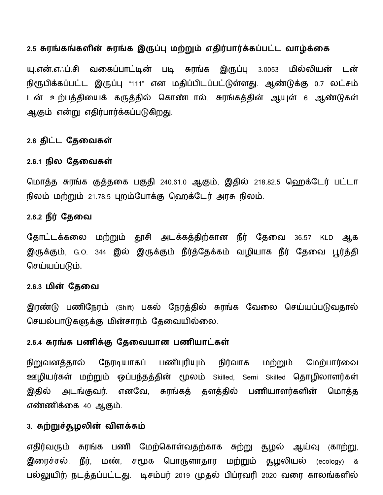#### 2.5 சுரங்கங்களின் சுரங்க இருப்பு மற்றும் எதிர்பார்க்கப்பட்ட வாழ்க்கை

யு.என்.எஃப்.சி வகைப்பாட்டின் படி சுரங்க இருப்பு 3.0053 மில்லியன் டன் நிரூபிக்கப்பட்ட இருப்பு "111" என மதிப்பிடப்பட்டுள்ளது. ஆண்டுக்கு 0.7 லட்சம் டன் உற்பத்தியைக் கருத்தில் கொண்டால், சுரங்கத்தின் ஆயுள் 6 ஆண்டுகள் ஆகும் என்று எதிர்பார்க்கப்படுகிறது.

#### 2.6 திட்ட தேவைகள்

#### 2.6.1 நில தேவைகள்

மொத்த சுரங்க குத்தகை பகுதி 240.61.0 ஆகும், இதில் 218.82.5 ஹெக்டேர் பட்டா நிலம் மற்றும் 21.78.5 புறம்போக்கு ஹெக்டேர் அரசு நிலம்.

#### 2.6.2 நீர் தேவை

தோட்டக்கலை மற்றும் தூசி அடக்கத்திற்கான நீர் தேவை 36.57 KLD ஆக இருக்கும், G.O. 344 இல் இருக்கும் நீர்த்தேக்கம் வழியாக நீர் தேவை பூர்த்தி செய்யப்படும்.

#### 2.6.3 மின் தேவை

இரண்டு பணிநேரம் (Shift) பகல் நேரத்தில் சுரங்க வேலை செய்யப்படுவதால் செயல்பாடுகளுக்கு மின்சாரம் தேவையில்லை.

#### 2.6.4 சுரங்க பணிக்கு தேவையான பணியாட்கள்

நிறுவனத்தால் நேரடியாகப் பணிபுரியும் நிர்வாக மற்றும் மேற்பார்வை ஊழியர்கள் மற்றும் ஒப்பந்தத்தின் மூலம் Skilled, Semi Skilled தொழிலாளர்கள் இதில் அடங்குவர். எனவே, சுரங்கத் தளத்தில் பணியாளர்களின் மொத்த எண்ணிக்கை 40 ஆகும்.

#### 3. சுற்றுச்சூழலின் விளக்கம்

எதிர்வரும் சுரங்க பணி மேற்கொள்வதற்காக சுற்று தூழல் ஆய்வு (காற்று, இரைச்சல், நீர், மண், சமூக பொருளாதார மற்றும் தழலியல் (ecology) & பல்லுயிர்) நடத்தப்பட்டது. டிசம்பர் 2019 முதல் பிப்ரவரி 2020 வரை காலங்களில்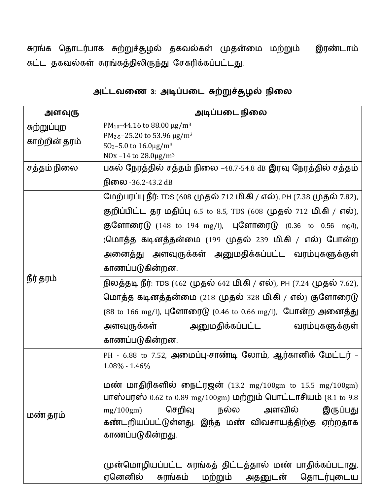சுரங்க தொடர்பாக சுற்றுச்தூழல் தகவல்கள் முதன்மை மற்றும் இரண்டாம் கட்ட தகவல்கள் சுரங்கத்திலிருந்து சேகரிக்கப்பட்டது.

| அட்டவணை 3: அடிப்படை சுற்றுச்சூழல் நிலை |
|----------------------------------------|
|----------------------------------------|

| அளவுரு        | அடிப்படை நிலை                                                                                                                                                                                                                                                       |
|---------------|---------------------------------------------------------------------------------------------------------------------------------------------------------------------------------------------------------------------------------------------------------------------|
| சுற்றுப்புற   | PM <sub>10</sub> -44.16 to 88.00 $\mu$ g/m <sup>3</sup><br>PM <sub>2-5</sub> -25.20 to 53.96 $\mu$ g/m <sup>3</sup>                                                                                                                                                 |
| காற்றின் தரம் | $SO_2 - 5.0$ to $16.0 \mu g/m^3$                                                                                                                                                                                                                                    |
|               | NOx -14 to $28.0 \mu g/m^3$                                                                                                                                                                                                                                         |
| சத்தம் நிலை   | பகல் நேரத்தில் சத்தம் நிலை –48.7-54.8 dB இரவு நேரத்தில் சத்தம்                                                                                                                                                                                                      |
|               | <b>நிலை -36.2-43.2 dB</b>                                                                                                                                                                                                                                           |
|               | மேற்பரப்பு நீர்: TDS (608 முதல் 712 மி.கி / எல்), PH (7.38 முதல் 7.82),                                                                                                                                                                                             |
|               | குறிப்பிட்ட தர மதிப்பு 6.5 to 8.5, TDS (608 முதல் 712 மி.கி / எல்),                                                                                                                                                                                                 |
|               | குளோரைடு (148 to 194 mg/l), புளோரைடு (0.36 to 0.56 mg/l),                                                                                                                                                                                                           |
|               | (மொத்த கடினத்தன்மை (199 முதல் 239 மி.கி / எல்) போன்ற                                                                                                                                                                                                                |
|               | அனைத்து அளவுருக்கள் அனுமதிக்கப்பட்ட வரம்புகளுக்குள்                                                                                                                                                                                                                 |
|               | காணப்படுகின்றன.                                                                                                                                                                                                                                                     |
| நீர் தரம்     | நிலத்தடி நீர்: TDS (462 முதல் 642 மி.கி / எல்), PH (7.24 முதல் 7.62),                                                                                                                                                                                               |
|               | மொத்த கடினத்தன்மை (218 முதல் 328 மி.கி / எல்) குளோரைடு                                                                                                                                                                                                              |
|               | (88 to 166 mg/l), புளோரைடு (0.46 to 0.66 mg/l), போன்ற அனைத்து                                                                                                                                                                                                       |
|               | அளவுருக்கள்  அனுமதிக்கப்பட்ட  வரம்புகளுக்குள்                                                                                                                                                                                                                       |
|               | காணப்படுகின்றன.                                                                                                                                                                                                                                                     |
|               | PH - 6.88 to 7.52, அமைப்பு-சாண்டி லோம், ஆர்கானிக் மேட்டர் –<br>$1.08\% - 1.46\%$                                                                                                                                                                                    |
| மண் தரம்      | <b>மண் மாதிரிகளில் நைட்ரஜன்</b> (13.2 mg/100gm to 15.5 mg/100gm)<br>பாஸ்பரஸ் 0.62 to 0.89 mg/100gm) மற்றும் பொட்டாசியம் (8.1 to 9.8<br>அளவில்<br>செறிவு<br>நல்ல<br>இருப்பது<br>mg/100gm<br>கண்டறியப்பட்டுள்ளது. இந்த மண் விவசாயத்திற்கு ஏற்றதாக<br>காணப்படுகின்றது. |
|               | முன்மொழியப்பட்ட சுரங்கத் திட்டத்தால் மண் பாதிக்கப்படாது,<br>ஏனெனில்<br>மற்றும் அதனுடன்<br>சுரங்கம்<br>தொடர்புடைய                                                                                                                                                    |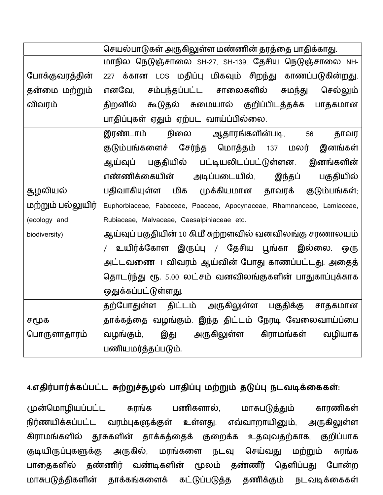|                   | செயல்பாடுகள் அருகிலுள்ள மண்ணின் தரத்தை பாதிக்காது.                     |
|-------------------|------------------------------------------------------------------------|
|                   | மாநில நெடுஞ்சாலை SH-27, SH-139, தேசிய நெடுஞ்சாலை NH-                   |
| போக்குவரத்தின்    | 227 க்கான LOS மதிப்பு மிகவும் சிறந்து காணப்படுகின்றது.                 |
| தன்மை மற்றும்     | சம்பந்தப்பட்ட சாலைகளில் சுமந்து<br>எனவே,<br>செல்லும்                   |
| விவரம்            | கூடுதல் சுமையால் குறிப்பிடத்தக்க<br>திறனில்<br>பாதகமான                 |
|                   | பாதிப்புகள் ஏதும் ஏற்பட வாய்ப்பில்லை.                                  |
|                   | நிலை<br>ஆதாரங்களின்படி,<br>இரண்டாம்<br>56<br>தாவர                      |
|                   | குடும்பங்களைச் சேர்ந்த மொத்தம் 137 மலர்<br>இனங்கள்                     |
|                   | ஆய்வுப் பகுதியில் பட்டியலிடப்பட்டுள்ளன. இனங்களின்                      |
|                   | எண்ணிக்கையின்<br>அடிப்படையில்,<br>இந்தப்<br>பகுதியில்                  |
| துழலியல்          | பதிவாகியுள்ள மிக முக்கியமான தாவரக் குடும்பங்கள்;                       |
| மற்றும் பல்லுயிர் | Euphorbiaceae, Fabaceae, Poaceae, Apocynaceae, Rhamnanceae, Lamiaceae, |
| (ecology and      | Rubiaceae, Malvaceae, Caesalpiniaceae etc.                             |
| biodiversity)     | ஆய்வுப் பகுதியின் 10 கி.மீ சுற்றளவில் வனவிலங்கு சரணாலயம்               |
|                   | / உயிர்க்கோள இருப்பு / தேசிய பூங்கா இல்லை. ஒரு                         |
|                   | அட்டவணை- 1 விவரம் ஆய்வின் போது காணப்பட்டது. அதைத்                      |
|                   | தொடர்ந்து ரூ. 5.00 லட்சம் வனவிலங்குகளின் பாதுகாப்புக்காக               |
|                   | ஒதுக்கப்பட்டுள்ளது.                                                    |
|                   | தற்போதுள்ள திட்டம் அருகிலுள்ள பகுதிக்கு சாதகமான                        |
| சமூக              | தாக்கத்தை வழங்கும். இந்த திட்டம் நேரடி வேலைவாய்ப்பை                    |
| பொருளாதாரம்       | இது<br>அருகிலுள்ள கிராமங்கள்<br>வழியாக<br>வழங்கும்,                    |
|                   | பணியமர்த்தப்படும்.                                                     |

## 4.எதிர்பார்க்கப்பட்ட சுற்றுச்சூழல் பாதிப்பு மற்றும் தடுப்பு நடவடிக்கைகள்:

முன்மொழியப்பட்ட பணிகளால், சுரங்க மாசுபடுத்தும் காரணிகள் நிர்ணயிக்கப்பட்ட வரம்புகளுக்குள் உள்ளது. எவ்வாறாயினும், அருகிலுள்ள கிராமங்களில் தூசுகளின் தாக்கத்தைக் குறைக்க உதவுவதற்காக, குறிப்பாக குடியிருப்புகளுக்கு அருகில், மரங்களை நடவு செய்வது மற்றும் சுரங்க பாதைகளில் தண்ணிர் வண்டிகளின் மூலம் தண்ணீர் தெளிப்பது போன்ற மாசுபடுத்திகளின் தாக்கங்களைக் கட்டுப்படுத்த தணிக்கும் நடவடிக்கைகள்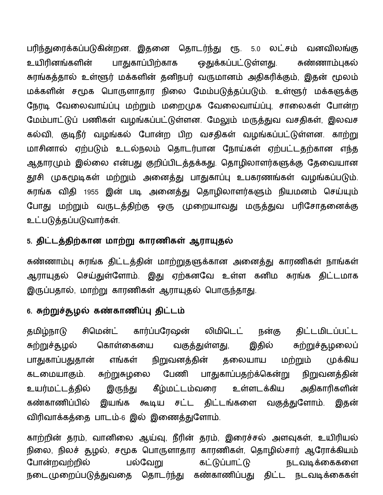பரிந்துரைக்கப்படுகின்றன. இதனை தொடர்ந்து ரூ. 5.0 லட்சம் வனவிலங்கு பாதுகாப்பிற்காக உயிரினங்களின் ஒதுக்கப்பட்டுள்ளது. சுண்ணாம்புகல் சுரங்கத்தால் உள்ளூர் மக்களின் தனிநபர் வருமானம் அதிகரிக்கும், இதன் மூலம் மக்களின் சமூக பொருளாதார நிலை மேம்படுத்தப்படும். உள்ளூர் மக்களுக்கு நேரடி வேலைவாய்ப்பு மற்றும் மறைமுக வேலைவாய்ப்பு, சாலைகள் போன்ற மேம்பாட்டுப் பணிகள் வழங்கப்பட்டுள்ளன. மேலும் மருத்துவ வசதிகள், இலவச கல்வி, குடிநீர் வழங்கல் போன்ற பிற வசதிகள் வழங்கப்பட்டுள்ளன. காற்று மாசினால் ஏற்படும் உடல்நலம் தொடர்பான நோய்கள் ஏற்பட்டதற்கான எந்த ஆதாரமும் இல்லை என்பது குறிப்பிடத்தக்கது. தொழிலாளர்களுக்கு தேவையான தூசி முகமூடிகள் மற்றும் அனைத்து பாதுகாப்பு உபகரணங்கள் வழங்கப்படும். சுரங்க விதி 1955 இன் படி அனைத்து தொழிலாளர்களும் நியமனம் செய்யும் போது மற்றும் வருடத்திற்கு ஒரு முறையாவது மருத்துவ பரிசோதனைக்கு உட்படுத்தப்படுவார்கள்.

### 5. திட்டத்திற்கான மாற்று காரணிகள் ஆராயுதல்

சுண்ணாம்பு சுரங்க திட்டத்தின் மாற்றுதளுக்கான அனைத்து காரணிகள் நாங்கள் ஆராயுதல் செய்துள்ளோம். இது ஏற்கனவே உள்ள கனிம சுரங்க திட்டமாக இருப்பதால், மாற்று காரணிகள் ஆராயுதல் பொருந்தாது.

### 6. சுற்றுச்சூழல் கண்காணிப்பு திட்டம்

சிமென்ட் கார்ப்பரேஷன் லிமிடெட் திட்டமிடப்பட்ட தமிழ்நாடு நன்கு சுற்றுச்தூழலைப் சுற்றுச்தழல் வகுத்துள்ள<u>து,</u> இதில் கொள்கையை பாதுகாப்பதுதான் நிறுவனத்தின் மற்றும் எங்கள் தலையாய முக்கிய சுற்றுசுழலை பாதுகாப்பதற்க்கென்று கடமையாகும். பேணி நிறுவனத்தின் உயர்மட்டத்தில் இருந்து கீழ்மட்டம்வரை அதிகாரிகளின் உள்ளடக்கிய கண்காணிப்பில் இயங்க கூடிய சட்ட திட்டங்களை வகுத்துளோம். இதன் விரிவாக்கத்தை பாடம்-6 இல் இணைத்துளோம்.

காற்றின் தரம், வானிலை ஆய்வு, நீரின் தரம், இரைச்சல் அளவுகள், உயிரியல் நிலை, நிலச் தூழல், சமூக பொருளாதார காரணிகள், தொழில்சார் ஆரோக்கியம் பல்வேறு கட்டுப்பாட்டு போன்றவற்றில் நடவடிக்கைகளை நடைமுறைப்படுத்துவதை தொடர்ந்து கண்காணிப்பது திட்ட நடவடிக்கைகள்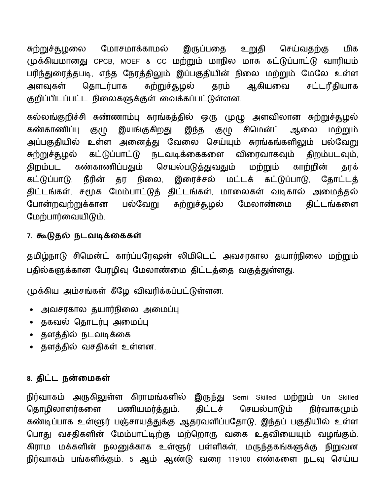சுற்றுச்சூழலை மோசமாக்காமல் இருப்பதை உறுதி செய்வதற்கு மிக முக்கியமானது CPCB, MOEF & CC மற்றும் மாநில மாசு கட்டுப்பாட்டு வாரியம் பரிந்துரைத்தபடி, எந்த நேரத்திலும் இப்பகுதியின் நிலை மற்றும் மேலே உள்ள தொடர்பாக ௬ற்றுச்சூழல் ஆகியவை சட்டரீதியாக அளவகள் தரம் குறிப்பிடப்பட்ட நிலைகளுக்குள் வைக்கப்பட்டுள்ளன.

கல்லங்குறிச்சி சுண்ணாம்பு சுரங்கத்தில் ஒரு முழு அளவிலான சுற்றுச்தூழல் கண்காணிப்பு இயங்குகிறது. இந்த குழு சிமென்ட் ஆலை மற்றும் குழு அப்பகுதியில் உள்ள அனைத்து வேலை செய்யும் சுரங்கங்களிலும் பல்வேறு ௬ற்றுச்சூழல் கட்டுப்பாட்டு நடவடிக்கைகளை விரைவாகவும் திறம்படவும், திறம்பட கண்காணிப்பதும் செயல்படுத்துவதும் மற்றும் காற்றின் தரக் கட்டுப்பாடு, நீரின் தர நிலை, இரைச்சல் மட்டக் கட்டுப்பாடு, கோட்டக் திட்டங்கள், சமூக மேம்பாட்டுத் திட்டங்கள், மாலைகள் வடிகால் அமைத்தல் போன்றவற்றுக்கான பல்வேறு சுற்றுச்சூழல் மேலாண்மை கிட்டங்களை மேற்பார்வையிடும்.

## 7. கூடுதல் நடவடிக்கைகள்

தமிழ்நாடு சிமென்ட் கார்ப்பரேஷன் லிமிடெட் அவசரகால தயார்நிலை மற்றும் பதில்களுக்கான பேரழிவு மேலாண்மை திட்டத்தை வகுத்துள்ளது.

முக்கிய அம்சங்கள் கீழே விவரிக்கப்பட்டுள்ளன.

- அவசரகால தயார்நிலை அமைப்பு
- தகவல் தொடர்பு அமைப்பு
- தளத்தில் நடவடிக்கை
- தளத்தில் வசதிகள் உள்ளன.

#### 8. திட்ட நன்மைகள்

நிர்வாகம் அருகிலுள்ள கிராமங்களில் இருந்து Semi Skilled மற்றும் Un Skilled தொழிலாளர்களை பணியமர்த்தும். கிட்டச் செயல்பாடும் நிர்வாகமும் கண்டிப்பாக உள்ளூர் பஞ்சாயத்துக்கு ஆதரவளிப்பதோடு, இந்தப் பகுதியில் உள்ள பொது வசதிகளின் மேம்பாட்டிற்கு மற்றொரு வகை உதவியையும் வழங்கும். கிராம மக்களின் நலனுக்காக உள்ளூர் பள்ளிகள், மருந்தகங்களுக்கு நிறுவன நிர்வாகம் பங்களிக்கும். 5 ஆம் ஆண்டு வரை 119100 எண்களை நடவு செய்ய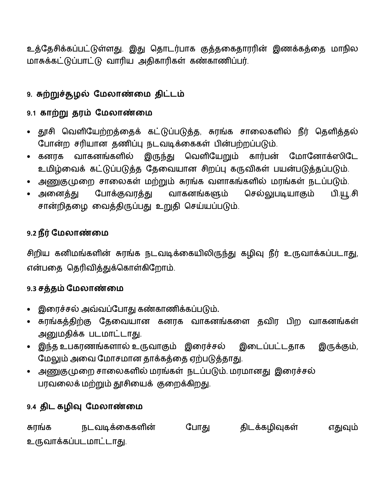உத்தேசிக்கப்பட்டுள்ளது. இது தொடர்பாக குத்தகைதாரரின் இணக்கத்தை மாநில மாசுக்கட்டுப்பாட்டு வாரிய அதிகாரிகள் கண்காணிப்பர்.

## 9. சுற்றுச்சூழல் மேலாண்மை திட்டம்

## 9.1 காற்று தரம் மேலாண்மை

- தூசி வெளியேற்றத்தைக் கட்டுப்படுத்த, சுரங்க சாலைகளில் நீர் தெளித்தல் போன்ற சரியான தணிப்பு நடவடிக்கைகள் பின்பற்றப்படும்.
- இருந்து வெளியேறும் கார்பன் மோனோக்ஸிடே வாகனங்களில் • கனரக உமிழ்வைக் கட்டுப்படுத்த தேவையான சிறப்பு கருவிகள் பயன்படுத்தப்படும்.
- அணுகுமுறை சாலைகள் மற்றும் சுரங்க வளாகங்களில் மரங்கள் நடப்படும்.
- அனைத்து செல்லுபடியாகும் போக்குவரத்து வாகனங்களும் பி.யூ.சி சான்றிதழை வைத்திருப்பது உறுதி செய்யப்படும்.

## 9.2 நீர் மேலாண்மை

சிறிய கனிமங்களின் சுரங்க நடவடிக்கையிலிருந்து கழிவு நீர் உருவாக்கப்படாது, என்பதை தெரிவித்துக்கொள்கிறோம்.

## 9.3 சத்தம் மேலாண்மை

- இரைச்சல் அவ்வப்போது கண்காணிக்கப்படும்.
- சுரங்கத்திற்கு தேவையான கனரக வாகனங்களை தவிர பிற வாகனங்கள் அனுமதிக்க படமாட்டாது.
- இந்த உபகரணங்களால் உருவாகும் இரைச்சல் இடைப்பட்டதாக இருக்கும், மேலும் அவை மோசமான தாக்கத்தை ஏற்படுத்தாது.
- அணுகுமுறை சாலைகளில் மரங்கள் நடப்படும். மரமானது இரைச்சல் பரவலைக் மற்றும் தூசியைக் குறைக்கிறது.

## 9.4 திட கழிவு மேலாண்மை

திடக்கழிவுகள் சுரங்க நடவடிக்கைகளின் போது எதுவும் உருவாக்கப்படமாட்டாது.